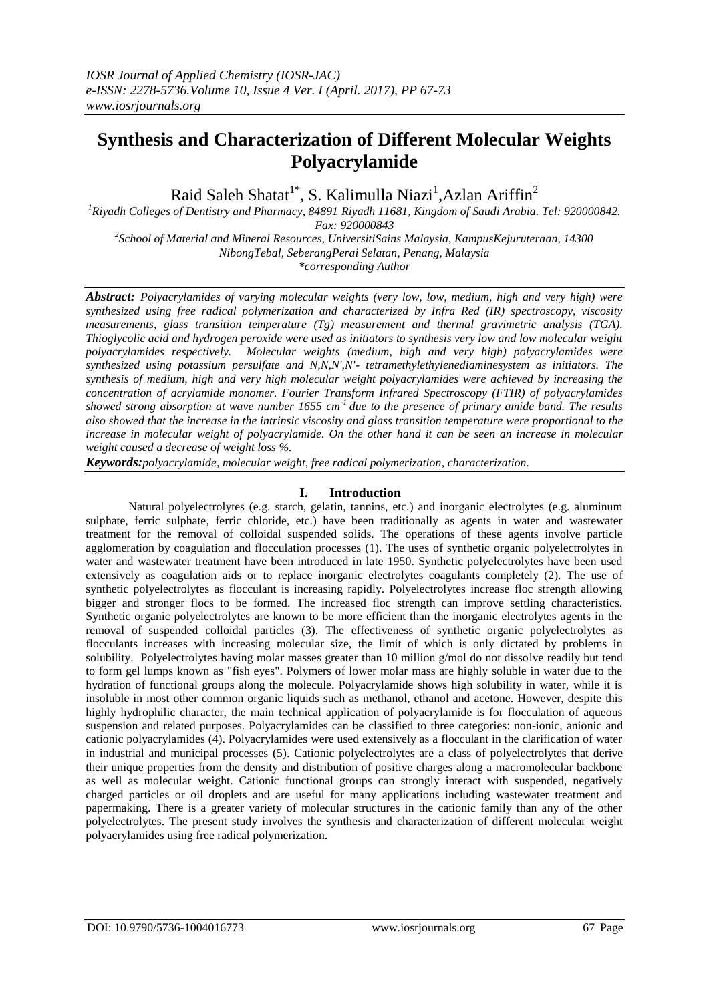# **Synthesis and Characterization of Different Molecular Weights Polyacrylamide**

Raid Saleh Shatat<sup>1\*</sup>, S. Kalimulla Niazi<sup>1</sup>,Azlan Ariffin<sup>2</sup>

*<sup>1</sup>Riyadh Colleges of Dentistry and Pharmacy, 84891 Riyadh 11681, Kingdom of Saudi Arabia. Tel: 920000842. Fax: 920000843*

*2 School of Material and Mineral Resources, UniversitiSains Malaysia, KampusKejuruteraan, 14300 NibongTebal, SeberangPerai Selatan, Penang, Malaysia \*corresponding Author* 

*Abstract: Polyacrylamides of varying molecular weights (very low, low, medium, high and very high) were synthesized using free radical polymerization and characterized by Infra Red (IR) spectroscopy, viscosity measurements, glass transition temperature (Tg) measurement and thermal gravimetric analysis (TGA). Thioglycolic acid and hydrogen peroxide were used as initiators to synthesis very low and low molecular weight polyacrylamides respectively. Molecular weights (medium, high and very high) polyacrylamides were synthesized using potassium persulfate and N,N,N',N'- tetramethylethylenediaminesystem as initiators. The synthesis of medium, high and very high molecular weight polyacrylamides were achieved by increasing the concentration of acrylamide monomer. Fourier Transform Infrared Spectroscopy (FTIR) of polyacrylamides showed strong absorption at wave number 1655 cm-1 due to the presence of primary amide band. The results also showed that the increase in the intrinsic viscosity and glass transition temperature were proportional to the increase in molecular weight of polyacrylamide. On the other hand it can be seen an increase in molecular weight caused a decrease of weight loss %.* 

*Keywords:polyacrylamide, molecular weight, free radical polymerization, characterization.* 

# **I. Introduction**

Natural polyelectrolytes (e.g. starch, gelatin, tannins, etc.) and inorganic electrolytes (e.g. aluminum sulphate, ferric sulphate, ferric chloride, etc.) have been traditionally as agents in water and wastewater treatment for the removal of colloidal suspended solids. The operations of these agents involve particle agglomeration by coagulation and flocculation processes (1). The uses of synthetic organic polyelectrolytes in water and wastewater treatment have been introduced in late 1950. Synthetic polyelectrolytes have been used extensively as coagulation aids or to replace inorganic electrolytes coagulants completely (2). The use of synthetic polyelectrolytes as flocculant is increasing rapidly. Polyelectrolytes increase floc strength allowing bigger and stronger flocs to be formed. The increased floc strength can improve settling characteristics. Synthetic organic polyelectrolytes are known to be more efficient than the inorganic electrolytes agents in the removal of suspended colloidal particles (3). The effectiveness of synthetic organic polyelectrolytes as flocculants increases with increasing molecular size, the limit of which is only dictated by problems in solubility. Polyelectrolytes having molar masses greater than 10 million g/mol do not dissolve readily but tend to form gel lumps known as "fish eyes". Polymers of lower molar mass are highly soluble in water due to the hydration of functional groups along the molecule. Polyacrylamide shows high solubility in water, while it is insoluble in most other common organic liquids such as methanol, ethanol and acetone. However, despite this highly hydrophilic character, the main technical application of polyacrylamide is for flocculation of aqueous suspension and related purposes. Polyacrylamides can be classified to three categories: non-ionic, anionic and cationic polyacrylamides (4). Polyacrylamides were used extensively as a flocculant in the clarification of water in industrial and municipal processes (5). Cationic polyelectrolytes are a class of polyelectrolytes that derive their unique properties from the density and distribution of positive charges along a macromolecular backbone as well as molecular weight. Cationic functional groups can strongly interact with suspended, negatively charged particles or oil droplets and are useful for many applications including wastewater treatment and papermaking. There is a greater variety of molecular structures in the cationic family than any of the other polyelectrolytes. The present study involves the synthesis and characterization of different molecular weight polyacrylamides using free radical polymerization.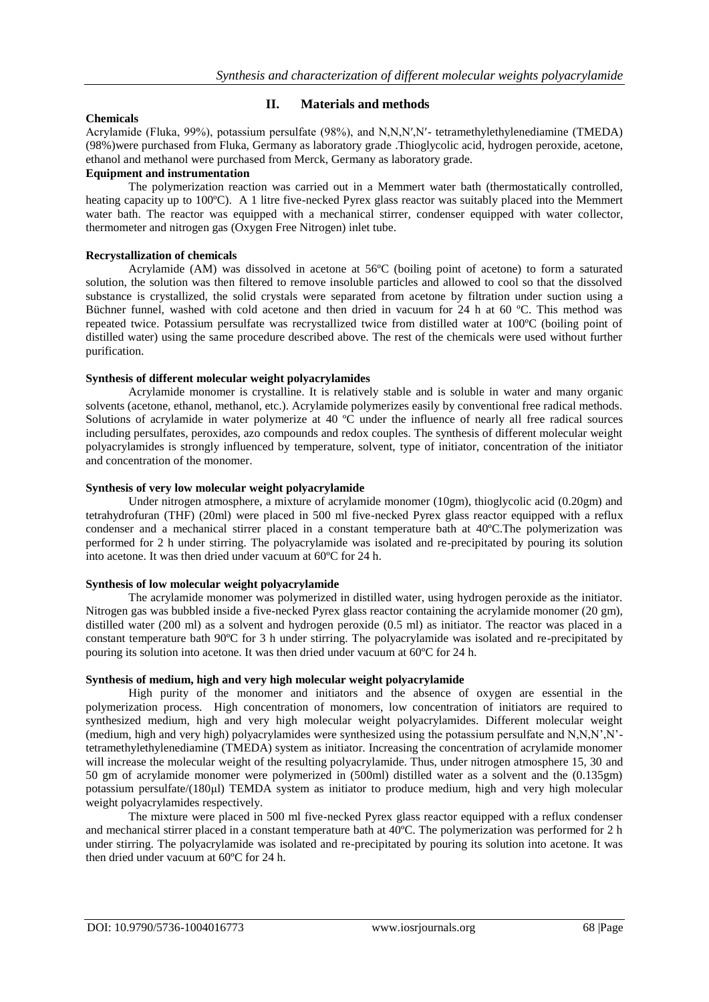# **Chemicals**

# **II. Materials and methods**

Acrylamide (Fluka, 99%), potassium persulfate (98%), and N,N,N′,N′- tetramethylethylenediamine (TMEDA) (98%)were purchased from Fluka, Germany as laboratory grade .Thioglycolic acid, hydrogen peroxide, acetone, ethanol and methanol were purchased from Merck, Germany as laboratory grade.

## **Equipment and instrumentation**

The polymerization reaction was carried out in a Memmert water bath (thermostatically controlled, heating capacity up to 100°C). A 1 litre five-necked Pyrex glass reactor was suitably placed into the Memmert water bath. The reactor was equipped with a mechanical stirrer, condenser equipped with water collector, thermometer and nitrogen gas (Oxygen Free Nitrogen) inlet tube.

#### **Recrystallization of chemicals**

Acrylamide (AM) was dissolved in acetone at 56ºC (boiling point of acetone) to form a saturated solution, the solution was then filtered to remove insoluble particles and allowed to cool so that the dissolved substance is crystallized, the solid crystals were separated from acetone by filtration under suction using a Büchner funnel, washed with cold acetone and then dried in vacuum for 24 h at 60 ºC. This method was repeated twice. Potassium persulfate was recrystallized twice from distilled water at 100ºC (boiling point of distilled water) using the same procedure described above. The rest of the chemicals were used without further purification.

## **Synthesis of different molecular weight polyacrylamides**

Acrylamide monomer is crystalline. It is relatively stable and is soluble in water and many organic solvents (acetone, ethanol, methanol, etc.). Acrylamide polymerizes easily by conventional free radical methods. Solutions of acrylamide in water polymerize at 40 °C under the influence of nearly all free radical sources including persulfates, peroxides, azo compounds and redox couples. The synthesis of different molecular weight polyacrylamides is strongly influenced by temperature, solvent, type of initiator, concentration of the initiator and concentration of the monomer.

# **Synthesis of very low molecular weight polyacrylamide**

Under nitrogen atmosphere, a mixture of acrylamide monomer (10gm), thioglycolic acid (0.20gm) and tetrahydrofuran (THF) (20ml) were placed in 500 ml five-necked Pyrex glass reactor equipped with a reflux condenser and a mechanical stirrer placed in a constant temperature bath at 40ºC.The polymerization was performed for 2 h under stirring. The polyacrylamide was isolated and re-precipitated by pouring its solution into acetone. It was then dried under vacuum at 60ºC for 24 h.

#### **Synthesis of low molecular weight polyacrylamide**

The acrylamide monomer was polymerized in distilled water, using hydrogen peroxide as the initiator. Nitrogen gas was bubbled inside a five-necked Pyrex glass reactor containing the acrylamide monomer (20 gm), distilled water (200 ml) as a solvent and hydrogen peroxide (0.5 ml) as initiator. The reactor was placed in a constant temperature bath 90ºC for 3 h under stirring. The polyacrylamide was isolated and re-precipitated by pouring its solution into acetone. It was then dried under vacuum at 60ºC for 24 h.

#### **Synthesis of medium, high and very high molecular weight polyacrylamide**

High purity of the monomer and initiators and the absence of oxygen are essential in the polymerization process. High concentration of monomers, low concentration of initiators are required to synthesized medium, high and very high molecular weight polyacrylamides. Different molecular weight (medium, high and very high) polyacrylamides were synthesized using the potassium persulfate and N,N,N',N' tetramethylethylenediamine (TMEDA) system as initiator. Increasing the concentration of acrylamide monomer will increase the molecular weight of the resulting polyacrylamide. Thus, under nitrogen atmosphere 15, 30 and 50 gm of acrylamide monomer were polymerized in (500ml) distilled water as a solvent and the (0.135gm) potassium persulfate/(180μl) TEMDA system as initiator to produce medium, high and very high molecular weight polyacrylamides respectively.

The mixture were placed in 500 ml five-necked Pyrex glass reactor equipped with a reflux condenser and mechanical stirrer placed in a constant temperature bath at 40ºC. The polymerization was performed for 2 h under stirring. The polyacrylamide was isolated and re-precipitated by pouring its solution into acetone. It was then dried under vacuum at 60ºC for 24 h.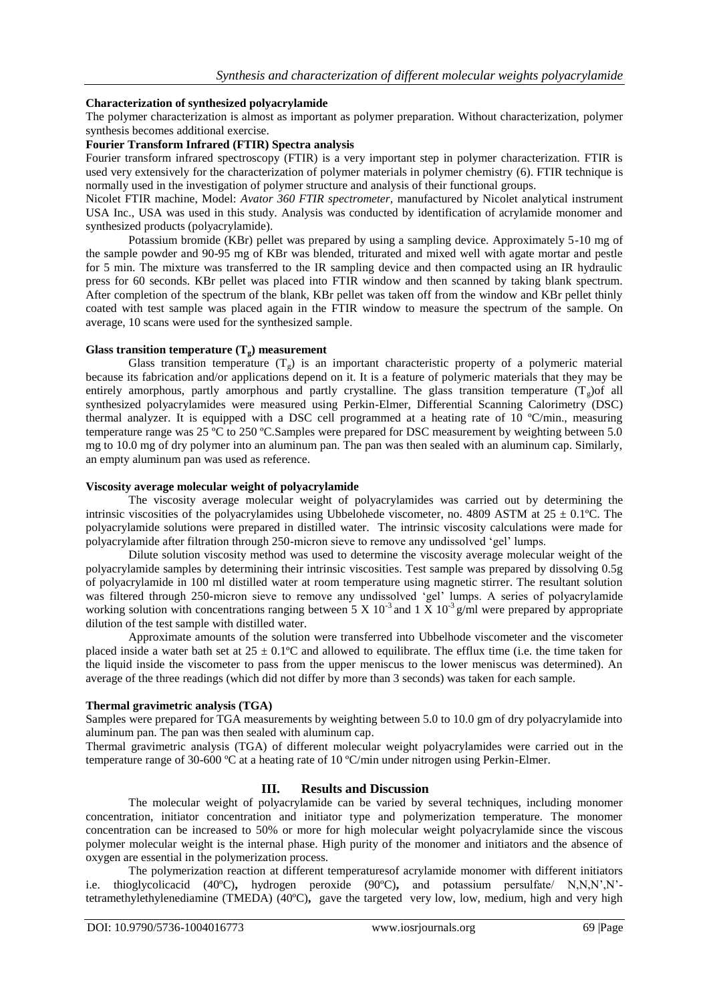## **Characterization of synthesized polyacrylamide**

The polymer characterization is almost as important as polymer preparation. Without characterization, polymer synthesis becomes additional exercise.

# **Fourier Transform Infrared (FTIR) Spectra analysis**

Fourier transform infrared spectroscopy (FTIR) is a very important step in polymer characterization. FTIR is used very extensively for the characterization of polymer materials in polymer chemistry (6). FTIR technique is normally used in the investigation of polymer structure and analysis of their functional groups.

Nicolet FTIR machine, Model: *Avator 360 FTIR spectrometer,* manufactured by Nicolet analytical instrument USA Inc., USA was used in this study. Analysis was conducted by identification of acrylamide monomer and synthesized products (polyacrylamide).

Potassium bromide (KBr) pellet was prepared by using a sampling device. Approximately 5-10 mg of the sample powder and 90-95 mg of KBr was blended, triturated and mixed well with agate mortar and pestle for 5 min. The mixture was transferred to the IR sampling device and then compacted using an IR hydraulic press for 60 seconds. KBr pellet was placed into FTIR window and then scanned by taking blank spectrum. After completion of the spectrum of the blank, KBr pellet was taken off from the window and KBr pellet thinly coated with test sample was placed again in the FTIR window to measure the spectrum of the sample. On average, 10 scans were used for the synthesized sample.

## Glass transition temperature  $(T<sub>g</sub>)$  measurement

Glass transition temperature  $(T<sub>g</sub>)$  is an important characteristic property of a polymeric material because its fabrication and/or applications depend on it. It is a feature of polymeric materials that they may be entirely amorphous, partly amorphous and partly crystalline. The glass transition temperature  $(T<sub>g</sub>)$  of all synthesized polyacrylamides were measured using Perkin-Elmer, Differential Scanning Calorimetry (DSC) thermal analyzer. It is equipped with a DSC cell programmed at a heating rate of 10 ºC/min., measuring temperature range was 25 ºC to 250 ºC.Samples were prepared for DSC measurement by weighting between 5.0 mg to 10.0 mg of dry polymer into an aluminum pan. The pan was then sealed with an aluminum cap. Similarly, an empty aluminum pan was used as reference.

#### **Viscosity average molecular weight of polyacrylamide**

The viscosity average molecular weight of polyacrylamides was carried out by determining the intrinsic viscosities of the polyacrylamides using Ubbelohede viscometer, no. 4809 ASTM at  $25 \pm 0.1$ °C. The polyacrylamide solutions were prepared in distilled water. The intrinsic viscosity calculations were made for polyacrylamide after filtration through 250-micron sieve to remove any undissolved 'gel' lumps.

Dilute solution viscosity method was used to determine the viscosity average molecular weight of the polyacrylamide samples by determining their intrinsic viscosities. Test sample was prepared by dissolving 0.5g of polyacrylamide in 100 ml distilled water at room temperature using magnetic stirrer. The resultant solution was filtered through 250-micron sieve to remove any undissolved 'gel' lumps. A series of polyacrylamide working solution with concentrations ranging between 5 X 10<sup>-3</sup> and 1 X 10<sup>-3</sup> g/ml were prepared by appropriate dilution of the test sample with distilled water.

Approximate amounts of the solution were transferred into Ubbelhode viscometer and the viscometer placed inside a water bath set at  $25 \pm 0.1^{\circ}\text{C}$  and allowed to equilibrate. The efflux time (i.e. the time taken for the liquid inside the viscometer to pass from the upper meniscus to the lower meniscus was determined). An average of the three readings (which did not differ by more than 3 seconds) was taken for each sample.

#### **Thermal gravimetric analysis (TGA)**

Samples were prepared for TGA measurements by weighting between 5.0 to 10.0 gm of dry polyacrylamide into aluminum pan. The pan was then sealed with aluminum cap.

Thermal gravimetric analysis (TGA) of different molecular weight polyacrylamides were carried out in the temperature range of 30-600 ºC at a heating rate of 10 ºC/min under nitrogen using Perkin-Elmer.

## **III. Results and Discussion**

The molecular weight of polyacrylamide can be varied by several techniques, including monomer concentration, initiator concentration and initiator type and polymerization temperature. The monomer concentration can be increased to 50% or more for high molecular weight polyacrylamide since the viscous polymer molecular weight is the internal phase. High purity of the monomer and initiators and the absence of oxygen are essential in the polymerization process.

The polymerization reaction at different temperaturesof acrylamide monomer with different initiators i.e. thioglycolicacid (40ºC)**,** hydrogen peroxide (90ºC)**,** and potassium persulfate/ N,N,N',N' tetramethylethylenediamine (TMEDA) (40ºC)**,** gave the targeted very low, low, medium, high and very high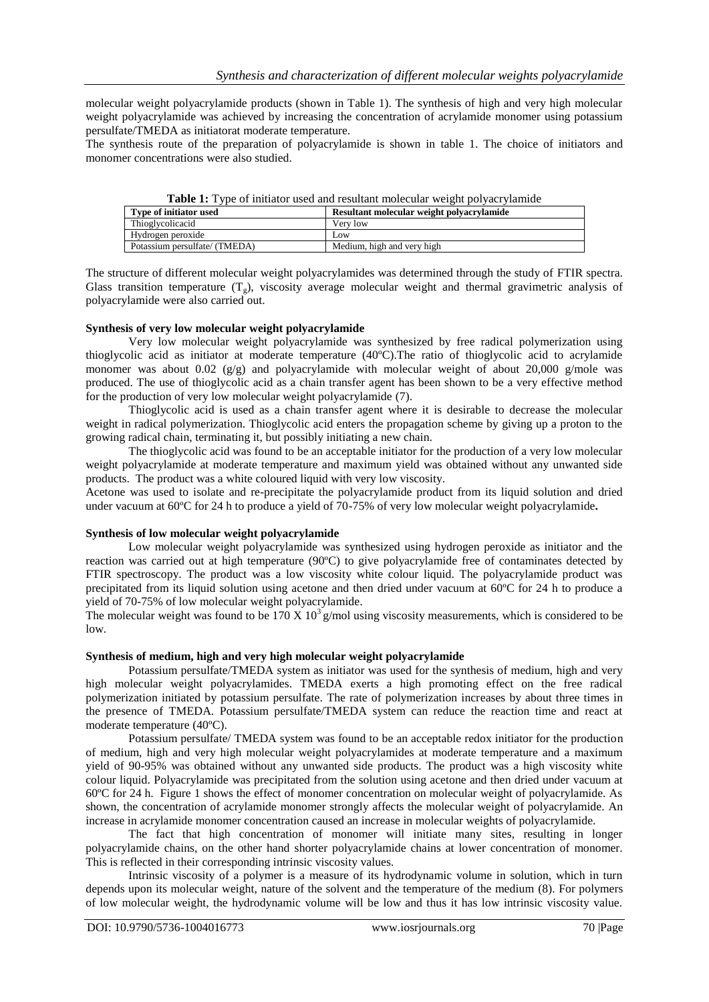molecular weight polyacrylamide products (shown in Table 1). The synthesis of high and very high molecular weight polyacrylamide was achieved by increasing the concentration of acrylamide monomer using potassium persulfate/TMEDA as initiatorat moderate temperature.

The synthesis route of the preparation of polyacrylamide is shown in table 1. The choice of initiators and monomer concentrations were also studied.

| <b>Table 1.</b> Type of initiation used and resultant molecular weight porvaci viammed |                                           |  |
|----------------------------------------------------------------------------------------|-------------------------------------------|--|
| Type of initiator used                                                                 | Resultant molecular weight polyacrylamide |  |
| Thioglycolicacid                                                                       | Very low                                  |  |
| Hydrogen peroxide                                                                      | Low                                       |  |
| Potassium persulfate/ (TMEDA)                                                          | Medium, high and very high                |  |
|                                                                                        |                                           |  |

**Table 1:** Type of initiator used and resultant molecular weight polyacrylamide

The structure of different molecular weight polyacrylamides was determined through the study of FTIR spectra. Glass transition temperature  $(T<sub>g</sub>)$ , viscosity average molecular weight and thermal gravimetric analysis of polyacrylamide were also carried out.

#### **Synthesis of very low molecular weight polyacrylamide**

Very low molecular weight polyacrylamide was synthesized by free radical polymerization using thioglycolic acid as initiator at moderate temperature (40ºC).The ratio of thioglycolic acid to acrylamide monomer was about 0.02 ( $g/g$ ) and polyacrylamide with molecular weight of about 20,000 g/mole was produced. The use of thioglycolic acid as a chain transfer agent has been shown to be a very effective method for the production of very low molecular weight polyacrylamide (7).

Thioglycolic acid is used as a chain transfer agent where it is desirable to decrease the molecular weight in radical polymerization. Thioglycolic acid enters the propagation scheme by giving up a proton to the growing radical chain, terminating it, but possibly initiating a new chain.

The thioglycolic acid was found to be an acceptable initiator for the production of a very low molecular weight polyacrylamide at moderate temperature and maximum yield was obtained without any unwanted side products. The product was a white coloured liquid with very low viscosity.

Acetone was used to isolate and re-precipitate the polyacrylamide product from its liquid solution and dried under vacuum at 60ºC for 24 h to produce a yield of 70-75% of very low molecular weight polyacrylamide**.**

#### **Synthesis of low molecular weight polyacrylamide**

Low molecular weight polyacrylamide was synthesized using hydrogen peroxide as initiator and the reaction was carried out at high temperature (90ºC) to give polyacrylamide free of contaminates detected by FTIR spectroscopy. The product was a low viscosity white colour liquid. The polyacrylamide product was precipitated from its liquid solution using acetone and then dried under vacuum at 60ºC for 24 h to produce a yield of 70-75% of low molecular weight polyacrylamide.

The molecular weight was found to be  $170 \text{ X } 10^3$  g/mol using viscosity measurements, which is considered to be low.

#### **Synthesis of medium, high and very high molecular weight polyacrylamide**

Potassium persulfate/TMEDA system as initiator was used for the synthesis of medium, high and very high molecular weight polyacrylamides. TMEDA exerts a high promoting effect on the free radical polymerization initiated by potassium persulfate. The rate of polymerization increases by about three times in the presence of TMEDA. Potassium persulfate/TMEDA system can reduce the reaction time and react at moderate temperature (40ºC).

Potassium persulfate/ TMEDA system was found to be an acceptable redox initiator for the production of medium, high and very high molecular weight polyacrylamides at moderate temperature and a maximum yield of 90-95% was obtained without any unwanted side products. The product was a high viscosity white colour liquid. Polyacrylamide was precipitated from the solution using acetone and then dried under vacuum at 60ºC for 24 h. Figure 1 shows the effect of monomer concentration on molecular weight of polyacrylamide. As shown, the concentration of acrylamide monomer strongly affects the molecular weight of polyacrylamide. An increase in acrylamide monomer concentration caused an increase in molecular weights of polyacrylamide.

The fact that high concentration of monomer will initiate many sites, resulting in longer polyacrylamide chains, on the other hand shorter polyacrylamide chains at lower concentration of monomer. This is reflected in their corresponding intrinsic viscosity values.

Intrinsic viscosity of a polymer is a measure of its hydrodynamic volume in solution, which in turn depends upon its molecular weight, nature of the solvent and the temperature of the medium (8). For polymers of low molecular weight, the hydrodynamic volume will be low and thus it has low intrinsic viscosity value.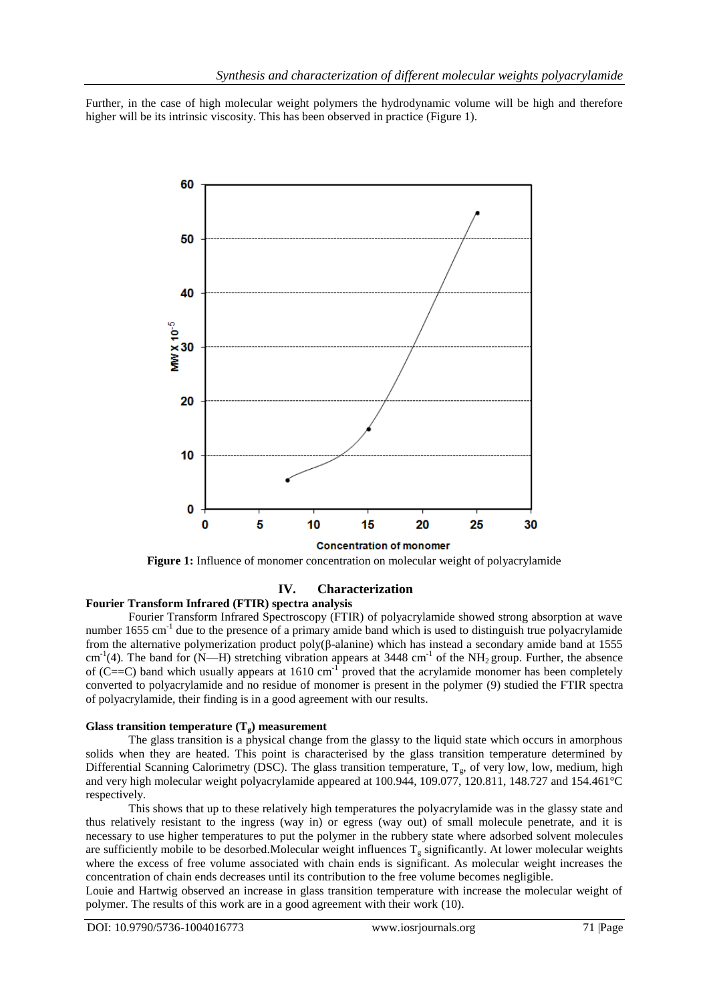Further, in the case of high molecular weight polymers the hydrodynamic volume will be high and therefore higher will be its intrinsic viscosity. This has been observed in practice (Figure 1).



**Figure 1:** Influence of monomer concentration on molecular weight of polyacrylamide

# **IV. Characterization**

# **Fourier Transform Infrared (FTIR) spectra analysis**

Fourier Transform Infrared Spectroscopy (FTIR) of polyacrylamide showed strong absorption at wave number 1655 cm<sup>-1</sup> due to the presence of a primary amide band which is used to distinguish true polyacrylamide from the alternative polymerization product poly(β-alanine) which has instead a secondary amide band at 1555  $cm^{-1}(4)$ . The band for (N—H) stretching vibration appears at 3448 cm<sup>-1</sup> of the NH<sub>2</sub> group. Further, the absence of (C==C) band which usually appears at 1610 cm<sup>-1</sup> proved that the acrylamide monomer has been completely converted to polyacrylamide and no residue of monomer is present in the polymer (9) studied the FTIR spectra of polyacrylamide, their finding is in a good agreement with our results.

#### **Glass transition temperature**  $(T_g)$  **measurement**

The glass transition is a physical change from the glassy to the liquid state which occurs in amorphous solids when they are heated. This point is characterised by the glass transition temperature determined by Differential Scanning Calorimetry (DSC). The glass transition temperature,  $T_g$ , of very low, low, medium, high and very high molecular weight polyacrylamide appeared at 100.944, 109.077, 120.811, 148.727 and 154.461°C respectively.

This shows that up to these relatively high temperatures the polyacrylamide was in the glassy state and thus relatively resistant to the ingress (way in) or egress (way out) of small molecule penetrate, and it is necessary to use higher temperatures to put the polymer in the rubbery state where adsorbed solvent molecules are sufficiently mobile to be desorbed. Molecular weight influences  $T_g$  significantly. At lower molecular weights where the excess of free volume associated with chain ends is significant. As molecular weight increases the concentration of chain ends decreases until its contribution to the free volume becomes negligible.

Louie and Hartwig observed an increase in glass transition temperature with increase the molecular weight of polymer. The results of this work are in a good agreement with their work (10).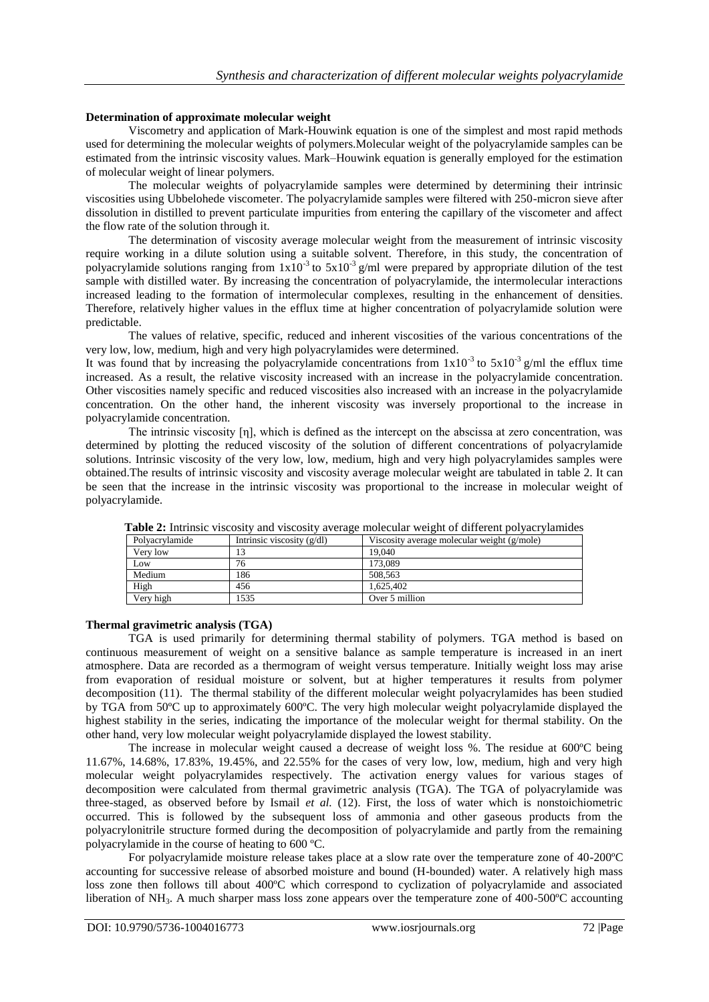#### **Determination of approximate molecular weight**

Viscometry and application of Mark-Houwink equation is one of the simplest and most rapid methods used for determining the molecular weights of polymers.Molecular weight of the polyacrylamide samples can be estimated from the intrinsic viscosity values. Mark–Houwink equation is generally employed for the estimation of molecular weight of linear polymers.

The molecular weights of polyacrylamide samples were determined by determining their intrinsic viscosities using Ubbelohede viscometer. The polyacrylamide samples were filtered with 250-micron sieve after dissolution in distilled to prevent particulate impurities from entering the capillary of the viscometer and affect the flow rate of the solution through it.

The determination of viscosity average molecular weight from the measurement of intrinsic viscosity require working in a dilute solution using a suitable solvent. Therefore, in this study, the concentration of polyacrylamide solutions ranging from  $1x10^{-3}$  to  $5x10^{-3}$  g/ml were prepared by appropriate dilution of the test sample with distilled water. By increasing the concentration of polyacrylamide, the intermolecular interactions increased leading to the formation of intermolecular complexes, resulting in the enhancement of densities. Therefore, relatively higher values in the efflux time at higher concentration of polyacrylamide solution were predictable.

The values of relative, specific, reduced and inherent viscosities of the various concentrations of the very low, low, medium, high and very high polyacrylamides were determined.

It was found that by increasing the polyacrylamide concentrations from  $1x10^{-3}$  to  $5x10^{-3}$  g/ml the efflux time increased. As a result, the relative viscosity increased with an increase in the polyacrylamide concentration. Other viscosities namely specific and reduced viscosities also increased with an increase in the polyacrylamide concentration. On the other hand, the inherent viscosity was inversely proportional to the increase in polyacrylamide concentration.

The intrinsic viscosity [η], which is defined as the intercept on the abscissa at zero concentration, was determined by plotting the reduced viscosity of the solution of different concentrations of polyacrylamide solutions. Intrinsic viscosity of the very low, low, medium, high and very high polyacrylamides samples were obtained.The results of intrinsic viscosity and viscosity average molecular weight are tabulated in table 2. It can be seen that the increase in the intrinsic viscosity was proportional to the increase in molecular weight of polyacrylamide.

| <b>Tuble 2:</b> Internate viscosity and viscosity average insteadant weight of unferent poryacity numbers |                |                              |                                             |
|-----------------------------------------------------------------------------------------------------------|----------------|------------------------------|---------------------------------------------|
|                                                                                                           | Polvacrylamide | Intrinsic viscosity $(g/dl)$ | Viscosity average molecular weight (g/mole) |
|                                                                                                           | Verv low       |                              | 19.040                                      |
|                                                                                                           | Low            | 76                           | 173.089                                     |
|                                                                                                           | Medium         | 86                           | 508,563                                     |
|                                                                                                           | High           | 456                          | 1.625.402                                   |
|                                                                                                           | Very high      | 1535                         | Over 5 million                              |

**Table 2:** Intrinsic viscosity and viscosity average molecular weight of different polyacrylamides

## **Thermal gravimetric analysis (TGA)**

TGA is used primarily for determining thermal stability of polymers. TGA method is based on continuous measurement of weight on a sensitive balance as sample temperature is increased in an inert atmosphere. Data are recorded as a thermogram of weight versus temperature. Initially weight loss may arise from evaporation of residual moisture or solvent, but at higher temperatures it results from polymer decomposition (11). The thermal stability of the different molecular weight polyacrylamides has been studied by TGA from 50ºC up to approximately 600ºC. The very high molecular weight polyacrylamide displayed the highest stability in the series, indicating the importance of the molecular weight for thermal stability. On the other hand, very low molecular weight polyacrylamide displayed the lowest stability.

The increase in molecular weight caused a decrease of weight loss %. The residue at 600ºC being 11.67%, 14.68%, 17.83%, 19.45%, and 22.55% for the cases of very low, low, medium, high and very high molecular weight polyacrylamides respectively. The activation energy values for various stages of decomposition were calculated from thermal gravimetric analysis (TGA). The TGA of polyacrylamide was three-staged, as observed before by Ismail *et al.* (12). First, the loss of water which is nonstoichiometric occurred. This is followed by the subsequent loss of ammonia and other gaseous products from the polyacrylonitrile structure formed during the decomposition of polyacrylamide and partly from the remaining polyacrylamide in the course of heating to 600 ºC.

For polyacrylamide moisture release takes place at a slow rate over the temperature zone of 40-200ºC accounting for successive release of absorbed moisture and bound (H-bounded) water. A relatively high mass loss zone then follows till about 400ºC which correspond to cyclization of polyacrylamide and associated liberation of NH<sub>3</sub>. A much sharper mass loss zone appears over the temperature zone of 400-500 $^{\circ}$ C accounting